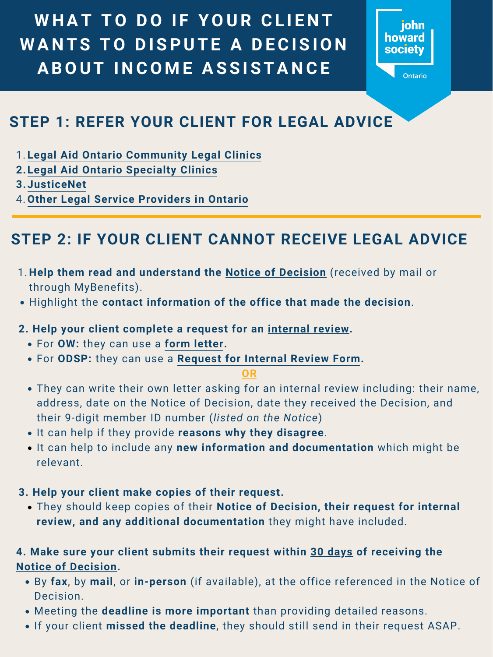### **2. Help your client complete a request for an internal review.**

- They can write their own letter asking for an internal review including: their name, address, date on the Notice of Decision, date they received the Decision, and their 9-digit member ID number (*listed on the Notice*)
- $\bullet$  It can help if they provide reasons why they disagree.
- It can help to include any **new information and documentation** which might be relevant.
- **3. Help your client make copies of their request.**
	- They should keep copies of their **Notice of Decision, their request for internal review, and any additional documentation** they might have included.
- For **OW:** they can use a **[form letter](https://www.cleo.on.ca/en/publications/apir/form-letter-internal-review-request).**
- For **ODSP:** they can use a **[Request for Internal Review Form](http://www.forms.ssb.gov.on.ca/mbs/ssb/forms/ssbforms.nsf/GetFileAttach/006-2878~1/$File/2878E.pdf).**

#### **OR**

WHAT TO DO IF YOUR CLIENT WANTS TO DISPUTE A DECISION **A B O U T I N C O M E A S S I S T A N C E**



**Ontario** 

# **STEP 2: IF YOUR CLIENT CANNOT RECEIVE LEGAL ADVICE**

- 1. Help them read and understand the **Notice of Decision** (received by mail or through MyBenefits).
- Highlight the contact information of the office that made the decision.
- **[Legal Aid Ontario Community Legal Clinics](https://www.legalaid.on.ca/legal-clinics/)** 1.
- **[Legal Aid Ontario Specialty Clinics](https://www.legalaid.on.ca/specialty-clinics/) 2.**
- **[JusticeNet](https://www.justicenet.ca/professions/) 3.**
- **[Other Legal Service Providers in Ontario](https://cleoconnect.ca/wp-content/uploads/2020/03/5-Legal-services-in-Ontario-for-online-course-final-March-2020.pdf)** 4.

# **STEP 1: REFER YOUR CLIENT FOR LEGAL ADVICE**

- By **fax**, by **mail**, or **in-person** (if available), at the office referenced in the Notice of Decision.
- Meeting the **deadline is more important** than providing detailed reasons.
- If your client **missed the deadline**, they should still send in their request ASAP.

**4. Make sure your client submits their request within 30 days of receiving the Notice of Decision.**